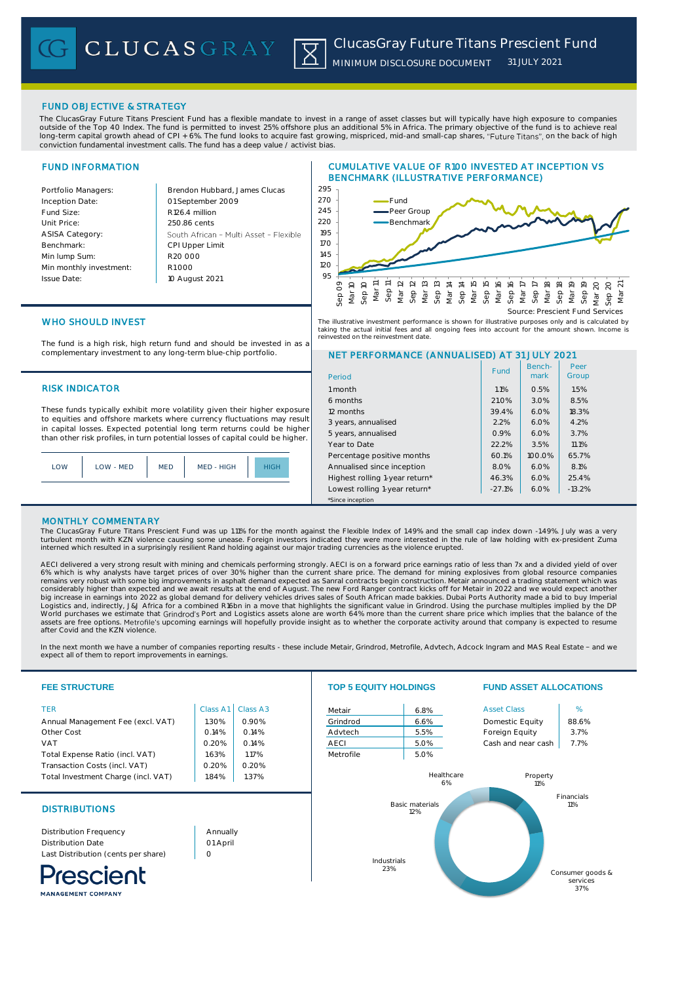# FUND OBJECTIVE & STRATEGY

The ClucasGray Future Titans Prescient Fund has a flexible mandate to invest in a range of asset classes but will typically have high exposure to companies outside of the Top 40 Index. The fund is permitted to invest 25% offshore plus an additional 5% in Africa. The primary objective of the fund is to achieve real long-term capital growth ahead of CPI + 6%. The fund looks to acquire fast growing, mispriced, mid-and small-cap shares, "Future Titans", on the back of high conviction fundamental investment calls. The fund has a deep value / activist bias.

# FUND INFORMATION

Inception Date:

Benchmark: Min lump Sum:

Issue Date:

Portfolio Managers: Brendon Hubbard, James Clucas 01 September 2009 Fund Size: R126.4 million Unit Price: 250.86 cents ASISA Category: South African - Multi Asset - Flexible CPI Upper Limit R20 000 Min monthly investment: R1 000 10 August 2021





Benchmark

Fund | Bench- | Peer<br>| mark | Group

Peer

NET PERFORMANCE (ANNUALISED) AT 31 JULY 2021

6 months 21.0% 3.0% 8.5% 12 months 39.4% **18.3%** 18.3% 3 years, annualised 2.2% 6.0% 4.2% 5 years, annualised **6.0% 6.0%** 3.7% Year to Date 22.2% 3.5% 11.1% Percentage positive months  $\begin{array}{|c|c|c|c|c|c|c|c|c|} \hline \end{array}$  60.1% 100.0% 65.7% Annualised since inception 8.0% 6.0% 8.1% Highest rolling 1-year return\*  $46.3\%$  6.0% 25.4% Lowest rolling 1-year return\* | -27.1% | 6.0% | -13.2%

WHO SHOULD INVEST

The fund is a high risk, high return fund and should be invested in as a complementary investment to any long-term blue-chip portfolio.

# RISK INDICATOR 1 month 1.1% 0.5% 1.5%

These funds typically exhibit more volatility given their higher exposure to equities and offshore markets where currency fluctuations may result in capital losses. Expected potential long term returns could be higher than other risk profiles, in turn potential losses of capital could be higher.

| LOW | LOW - MED | <b>MED</b> | MED - HIGH | HIGH |
|-----|-----------|------------|------------|------|
|     |           |            |            |      |

# MONTHLY COMMENTARY

The ClucasGray Future Titans Prescient Fund was up 1.11% for the month against the Flexible Index of 1.49% and the small cap index down -1.49%. July was a very turbulent month with KZN violence causing some unease. Foreign investors indicated they were more interested in the rule of law holding with ex-president Zuma<br>interned which resulted in a surprisingly resilient Rand holdin

\*Since inception

Period

AECI delivered a very strong result with mining and chemicals performing strongly. AECI is on a forward price earnings ratio of less than 7x and a divided yield of over<br>6% which is why analysts have target prices of over 3 Logistics and, indirectly, J&J Africa for a combined R16bn in a move that highlights the significant value in Grindrod. Using the purchase multiples implied by the DP<br>World purchases we estimate that Grindrod's Port and Lo are free options. Metrofile's upcoming earnings will hopefully provide insight as to whether the corporate activity around that company is expected to resume after Covid and the KZN violence.

In the next month we have a number of companies reporting results - these include Metair, Grindrod, Metrofile, Advtech, Adcock Ingram and MAS Real Estate - and we<br>expect all of them to report improvements in earnings.